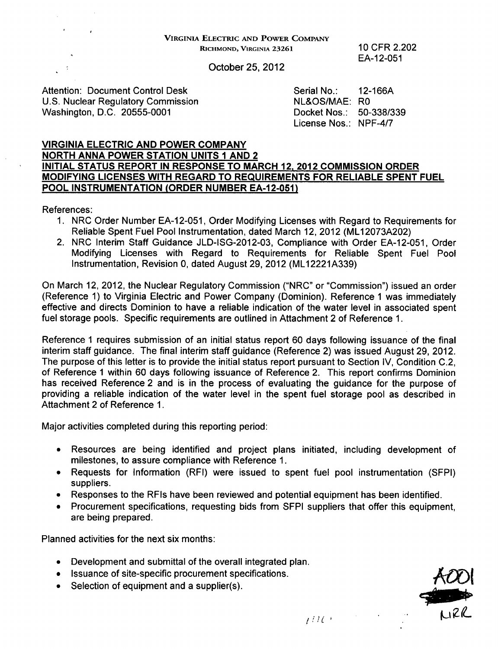## VIRGINIA ELECTRIC **AND** POWER COMPANY RICHMOND, VIRGINIA **23261** 10 CFR 2.202

EA-12-051

October 25, 2012

Attention: Document Control Desk Serial No.: 12-166A U.S. Nuclear Regulatory Commission NL&OS/MAE: RO Washington, D.C. 20555-0001

License Nos.: NPF-4/7

## VIRGINIA ELECTRIC AND POWER COMPANY

## NORTH ANNA POWER STATION UNITS **I** AND 2 INITIAL STATUS REPORT IN RESPONSE TO MARCH 12, 2012 COMMISSION ORDER MODIFYING LICENSES WITH REGARD TO REQUIREMENTS FOR RELIABLE SPENT FUEL POOL INSTRUMENTATION (ORDER NUMBER EA-12-051)

References:

- 1. NRC Order Number EA-12-051, Order Modifying Licenses with Regard to Requirements for Reliable Spent Fuel Pool Instrumentation, dated March 12, 2012 (ML12073A202)
- 2. NRC Interim Staff Guidance JLD-ISG-2012-03, Compliance with Order EA-12-051, Order Modifying Licenses with Regard to Requirements for Reliable Spent Fuel Pool Instrumentation, Revision 0, dated August 29, 2012 (ML12221A339)

On March 12, 2012, the Nuclear Regulatory Commission ("NRC" or "Commission") issued an order (Reference 1) to Virginia Electric and Power Company (Dominion). Reference 1 was immediately effective and directs Dominion to have a reliable indication of the water level in associated spent fuel storage pools. Specific requirements are outlined in Attachment 2 of Reference 1.

Reference 1 requires submission of an initial status report 60 days following issuance of the final interim staff guidance. The final interim staff guidance (Reference 2) was issued August 29, 2012. The purpose of this letter is to provide the initial status report pursuant to Section IV, Condition C.2, of Reference **1** within 60 days following issuance of Reference 2. This report confirms Dominion has received Reference 2 and is in the process of evaluating the guidance for the purpose of providing a reliable indication of the water level in the spent fuel storage pool as described in Attachment 2 of Reference 1.

Major activities completed during this reporting period:

- **"** Resources are being identified and project plans initiated, including development of milestones, to assure compliance with Reference 1.
- \* Requests for Information (RFI) were issued to spent fuel pool instrumentation (SFPI) suppliers.
- **"** Responses to the RFIs have been reviewed and potential equipment has been identified.
- **"** Procurement specifications, requesting bids from SFPI suppliers that offer this equipment, are being prepared.

Planned activities for the next six months:

- **"** Development and submittal of the overall integrated plan.
- Issuance of site-specific procurement specifications.
- Selection of equipment and a supplier(s).



I'l . .¢-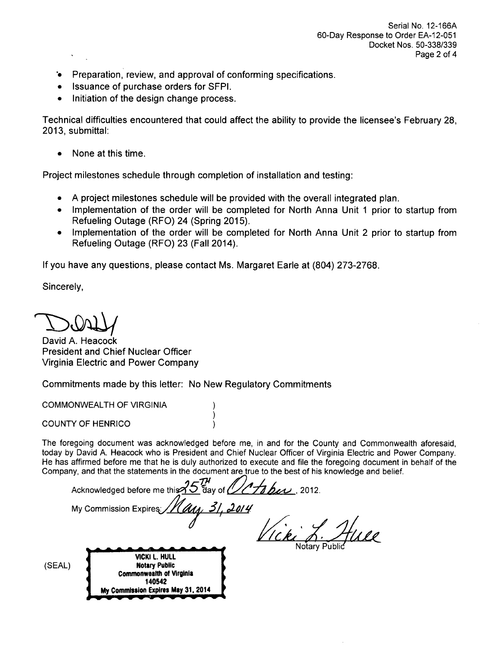- " Preparation, review, and approval of conforming specifications.
- \* Issuance of purchase orders for SFPI.
- Initiation of the design change process.

Technical difficulties encountered that could affect the ability to provide the licensee's February 28, 2013, submittal:

**0** None at this time.

Project milestones schedule through completion of installation and testing:

- **"** A project milestones schedule will be provided with the overall integrated plan.
- \* Implementation of the order will be completed for North Anna Unit **1** prior to startup from Refueling Outage (RFO) 24 (Spring 2015).
- Implementation of the order will be completed for North Anna Unit 2 prior to startup from Refueling Outage (RFO) 23 (Fall 2014).

If you have any questions, please contact Ms. Margaret Earle at (804) 273-2768.

Sincerely,

David A. Heacock President and Chief Nuclear Officer Virginia Electric and Power Company

Commitments made by this letter: No New Regulatory Commitments

**My** Commission Expires **May 31.** 2014

COMMONWEALTH OF VIRGINIA

COUNTY OF HENRICO

The foregoing document was acknowledged before me, in and for the County and Commonwealth aforesaid, today by David A. Heacock who is President and Chief Nuclear Officer of Virginia Electric and Power Company. He has affirmed before me that he is duly authorized to execute and file the foregoing document in behalf of the Company, and that the statements in the document are true to the best of his knowledge and belief.

|        | Acknowledged before me this $35\frac{m}{6}$ day of $\sqrt{4}$ best 2012.           |               |
|--------|------------------------------------------------------------------------------------|---------------|
|        | My Commission Expires 11 au 31, 2014                                               |               |
|        |                                                                                    |               |
|        |                                                                                    | Notary Public |
| (SEAL) | VICKI L. HULL<br><b>Notary Public</b><br><b>Commonwealth of Virginia</b><br>140542 |               |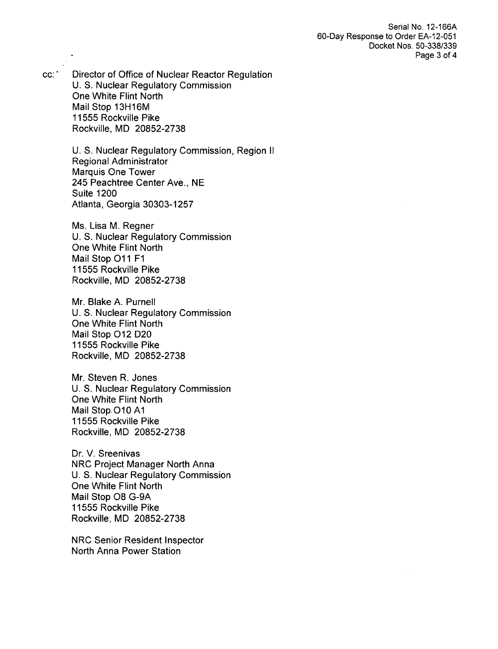Serial No. 12-166A 60-Day Response to Order EA-12-051 Docket Nos. 50-338/339 Page 3 of 4

cc:' Director of Office of Nuclear Reactor Regulation U. S. Nuclear Regulatory Commission One White Flint North Mail Stop 13H16M 11555 Rockville Pike Rockville, MD 20852-2738

> U. S. Nuclear Regulatory Commission, Region **I1** Regional Administrator Marquis One Tower 245 Peachtree Center Ave., NE Suite 1200 Atlanta, Georgia 30303-1257

Ms. Lisa M. Regner U. S. Nuclear Regulatory Commission One White Flint North Mail Stop **011** F1 11555 Rockville Pike Rockville, MD 20852-2738

Mr. Blake A. Purnell U. S. Nuclear Regulatory Commission One White Flint North Mail Stop 012 D20 11555 Rockville Pike Rockville, MD 20852-2738

Mr. Steven R. Jones U. S. Nuclear Regulatory Commission One White Flint North Mail Stop.O10 **Al** 11555 Rockville Pike Rockville, MD 20852-2738

Dr. V. Sreenivas NRC Project Manager North Anna U. S. Nuclear Regulatory Commission One White Flint North Mail Stop 08 G-9A 11555 Rockville Pike Rockville, MD 20852-2738

NRC Senior Resident Inspector North Anna Power Station